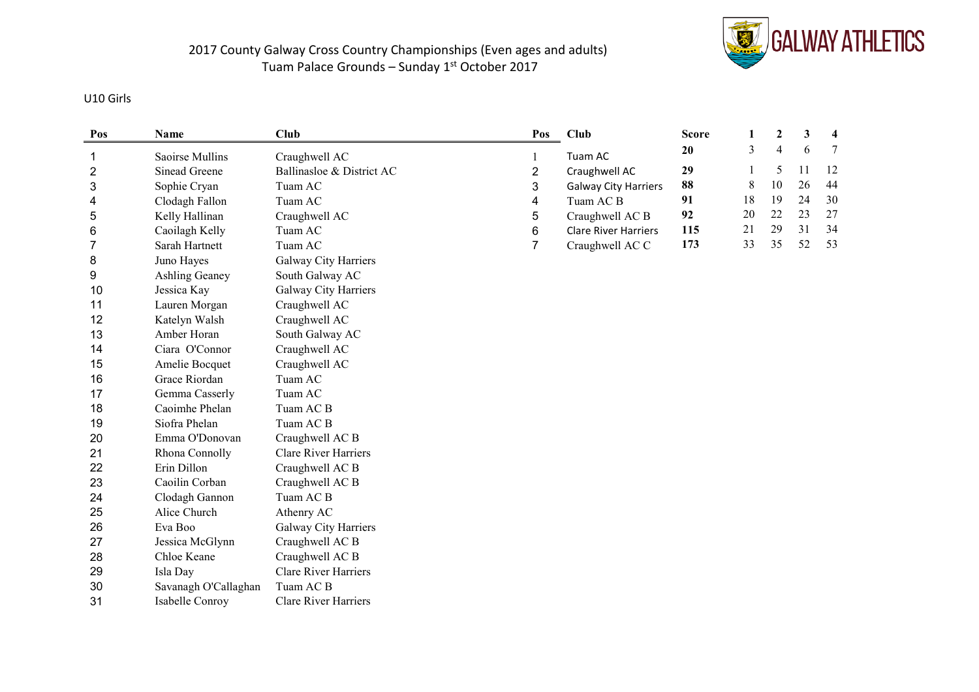

#### U10 Girls

| Pos | Name                 | Club                        | Pos          | Club                        | <b>Score</b> | 1  | 2              | 3  | 4  |
|-----|----------------------|-----------------------------|--------------|-----------------------------|--------------|----|----------------|----|----|
| 1   | Saoirse Mullins      | Craughwell AC               | $\mathbf{1}$ | Tuam AC                     | 20           | 3  | $\overline{4}$ | 6  | 7  |
| 2   | Sinead Greene        | Ballinasloe & District AC   | 2            | Craughwell AC               | 29           |    | 5              | 11 | 12 |
| 3   | Sophie Cryan         | Tuam AC                     | 3            | <b>Galway City Harriers</b> | 88           | 8  | 10             | 26 | 44 |
| 4   | Clodagh Fallon       | Tuam AC                     | 4            | Tuam AC B                   | 91           | 18 | 19             | 24 | 30 |
| 5   | Kelly Hallinan       | Craughwell AC               | 5            | Craughwell AC B             | 92           | 20 | 22             | 23 | 27 |
| 6   | Caoilagh Kelly       | Tuam AC                     | 6            | <b>Clare River Harriers</b> | 115          | 21 | 29             | 31 | 34 |
| 7   | Sarah Hartnett       | Tuam AC                     | 7            | Craughwell AC C             | 173          | 33 | 35             | 52 | 53 |
| 8   | Juno Hayes           | Galway City Harriers        |              |                             |              |    |                |    |    |
| 9   | Ashling Geaney       | South Galway AC             |              |                             |              |    |                |    |    |
| 10  | Jessica Kay          | Galway City Harriers        |              |                             |              |    |                |    |    |
| 11  | Lauren Morgan        | Craughwell AC               |              |                             |              |    |                |    |    |
| 12  | Katelyn Walsh        | Craughwell AC               |              |                             |              |    |                |    |    |
| 13  | Amber Horan          | South Galway AC             |              |                             |              |    |                |    |    |
| 14  | Ciara O'Connor       | Craughwell AC               |              |                             |              |    |                |    |    |
| 15  | Amelie Bocquet       | Craughwell AC               |              |                             |              |    |                |    |    |
| 16  | Grace Riordan        | Tuam AC                     |              |                             |              |    |                |    |    |
| 17  | Gemma Casserly       | Tuam AC                     |              |                             |              |    |                |    |    |
| 18  | Caoimhe Phelan       | Tuam AC B                   |              |                             |              |    |                |    |    |
| 19  | Siofra Phelan        | Tuam AC B                   |              |                             |              |    |                |    |    |
| 20  | Emma O'Donovan       | Craughwell AC B             |              |                             |              |    |                |    |    |
| 21  | Rhona Connolly       | <b>Clare River Harriers</b> |              |                             |              |    |                |    |    |
| 22  | Erin Dillon          | Craughwell AC B             |              |                             |              |    |                |    |    |
| 23  | Caoilin Corban       | Craughwell AC B             |              |                             |              |    |                |    |    |
| 24  | Clodagh Gannon       | Tuam AC <sub>B</sub>        |              |                             |              |    |                |    |    |
| 25  | Alice Church         | Athenry AC                  |              |                             |              |    |                |    |    |
| 26  | Eva Boo              | Galway City Harriers        |              |                             |              |    |                |    |    |
| 27  | Jessica McGlynn      | Craughwell AC B             |              |                             |              |    |                |    |    |
| 28  | Chloe Keane          | Craughwell AC B             |              |                             |              |    |                |    |    |
| 29  | Isla Day             | <b>Clare River Harriers</b> |              |                             |              |    |                |    |    |
| 30  | Savanagh O'Callaghan | Tuam AC B                   |              |                             |              |    |                |    |    |
| 31  | Isabelle Conroy      | Clare River Harriers        |              |                             |              |    |                |    |    |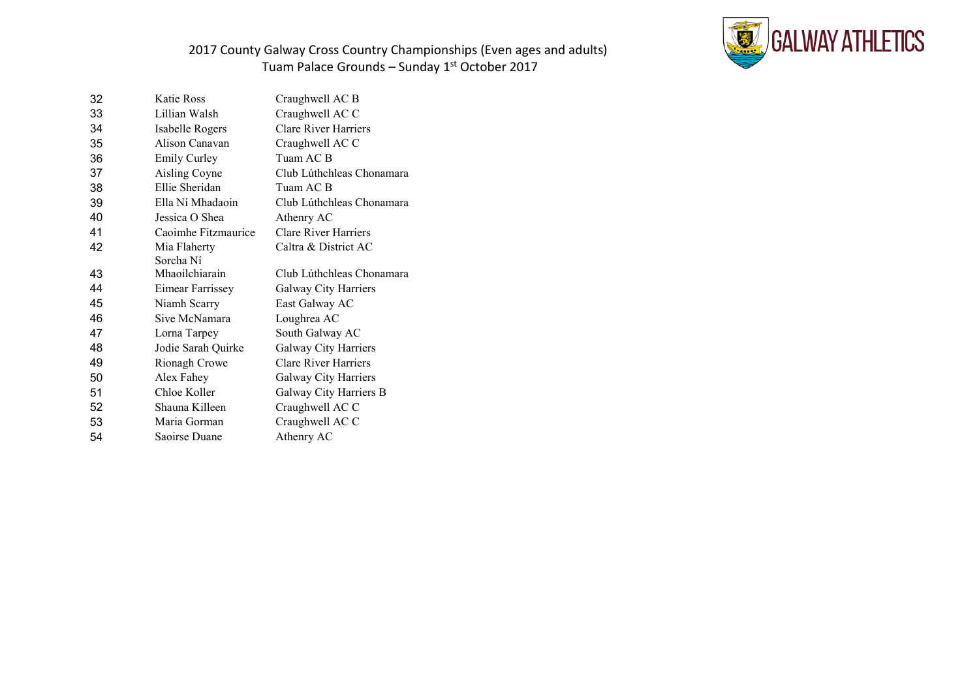

| 32 | Katie Ross          | Craughwell AC B             |
|----|---------------------|-----------------------------|
| 33 | Lillian Walsh       | Craughwell AC C             |
| 34 | Isabelle Rogers     | <b>Clare River Harriers</b> |
| 35 | Alison Canavan      | Craughwell AC C             |
| 36 | <b>Emily Curley</b> | Tuam AC B                   |
| 37 | Aisling Coyne       | Club Lúthchleas Chonamara   |
| 38 | Ellie Sheridan      | Tuam AC B                   |
| 39 | Ella Ní Mhadaoin    | Club Lúthchleas Chonamara   |
| 40 | Jessica O Shea      | Athenry AC                  |
| 41 | Caoimhe Fitzmaurice | <b>Clare River Harriers</b> |
| 42 | Mia Flaherty        | Caltra & District AC        |
|    | Sorcha Ní           |                             |
| 43 | Mhaoilchiaraín      | Club Lúthchleas Chonamara   |
| 44 | Eimear Farrissey    | Galway City Harriers        |
| 45 | Niamh Scarry        | East Galway AC              |
| 46 | Sive McNamara       | Loughrea AC                 |
| 47 | Lorna Tarpey        | South Galway AC             |
| 48 | Jodie Sarah Quirke  | Galway City Harriers        |
| 49 | Rionagh Crowe       | <b>Clare River Harriers</b> |
| 50 | Alex Fahey          | Galway City Harriers        |
| 51 | Chloe Koller        | Galway City Harriers B      |
| 52 | Shauna Killeen      | Craughwell AC C             |
| 53 | Maria Gorman        | Craughwell AC C             |
| 54 | Saoirse Duane       | Athenry AC                  |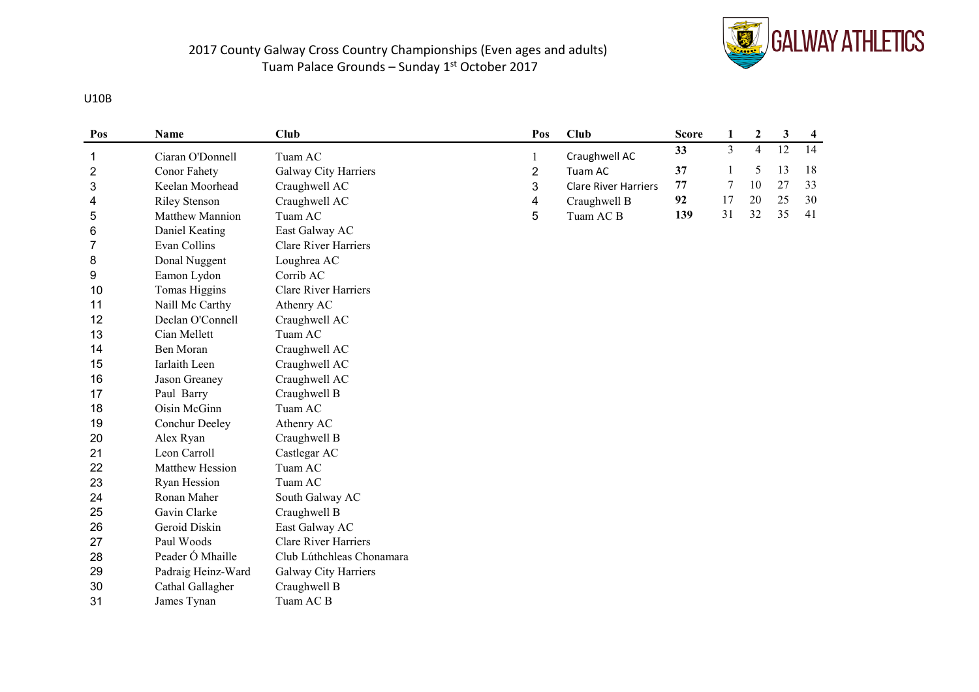

#### U10B

| Pos | Name                 | <b>Club</b>                 | Pos | Club                        | <b>Score</b> | $\mathbf{1}$   | $\boldsymbol{2}$ | 3  | $\overline{\mathbf{4}}$ |
|-----|----------------------|-----------------------------|-----|-----------------------------|--------------|----------------|------------------|----|-------------------------|
| 1   | Ciaran O'Donnell     | Tuam AC                     | 1   | Craughwell AC               | 33           | $\overline{3}$ | $\overline{4}$   | 12 | 14                      |
| 2   | Conor Fahety         | Galway City Harriers        | 2   | Tuam AC                     | 37           | 1              | 5                | 13 | 18                      |
| 3   | Keelan Moorhead      | Craughwell AC               | 3   | <b>Clare River Harriers</b> | 77           | 7              | 10               | 27 | 33                      |
| 4   | <b>Riley Stenson</b> | Craughwell AC               | 4   | Craughwell B                | 92           | 17             | 20               | 25 | 30                      |
| 5   | Matthew Mannion      | Tuam AC                     | 5   | Tuam AC <sub>B</sub>        | 139          | 31             | 32               | 35 | 41                      |
| 6   | Daniel Keating       | East Galway AC              |     |                             |              |                |                  |    |                         |
| 7   | Evan Collins         | <b>Clare River Harriers</b> |     |                             |              |                |                  |    |                         |
| 8   | Donal Nuggent        | Loughrea AC                 |     |                             |              |                |                  |    |                         |
| 9   | Eamon Lydon          | Corrib AC                   |     |                             |              |                |                  |    |                         |
| 10  | Tomas Higgins        | <b>Clare River Harriers</b> |     |                             |              |                |                  |    |                         |
| 11  | Naill Mc Carthy      | Athenry AC                  |     |                             |              |                |                  |    |                         |
| 12  | Declan O'Connell     | Craughwell AC               |     |                             |              |                |                  |    |                         |
| 13  | Cian Mellett         | Tuam AC                     |     |                             |              |                |                  |    |                         |
| 14  | <b>Ben Moran</b>     | Craughwell AC               |     |                             |              |                |                  |    |                         |
| 15  | Iarlaith Leen        | Craughwell AC               |     |                             |              |                |                  |    |                         |
| 16  | Jason Greaney        | Craughwell AC               |     |                             |              |                |                  |    |                         |
| 17  | Paul Barry           | Craughwell B                |     |                             |              |                |                  |    |                         |
| 18  | Oisin McGinn         | Tuam AC                     |     |                             |              |                |                  |    |                         |
| 19  | Conchur Deeley       | Athenry AC                  |     |                             |              |                |                  |    |                         |
| 20  | Alex Ryan            | Craughwell B                |     |                             |              |                |                  |    |                         |
| 21  | Leon Carroll         | Castlegar AC                |     |                             |              |                |                  |    |                         |
| 22  | Matthew Hession      | Tuam AC                     |     |                             |              |                |                  |    |                         |
| 23  | <b>Ryan Hession</b>  | Tuam AC                     |     |                             |              |                |                  |    |                         |
| 24  | Ronan Maher          | South Galway AC             |     |                             |              |                |                  |    |                         |
| 25  | Gavin Clarke         | Craughwell B                |     |                             |              |                |                  |    |                         |
| 26  | Geroid Diskin        | East Galway AC              |     |                             |              |                |                  |    |                         |
| 27  | Paul Woods           | Clare River Harriers        |     |                             |              |                |                  |    |                         |
| 28  | Peader Ó Mhaille     | Club Lúthchleas Chonamara   |     |                             |              |                |                  |    |                         |
| 29  | Padraig Heinz-Ward   | Galway City Harriers        |     |                             |              |                |                  |    |                         |
| 30  | Cathal Gallagher     | Craughwell B                |     |                             |              |                |                  |    |                         |
| 31  | James Tynan          | Tuam AC B                   |     |                             |              |                |                  |    |                         |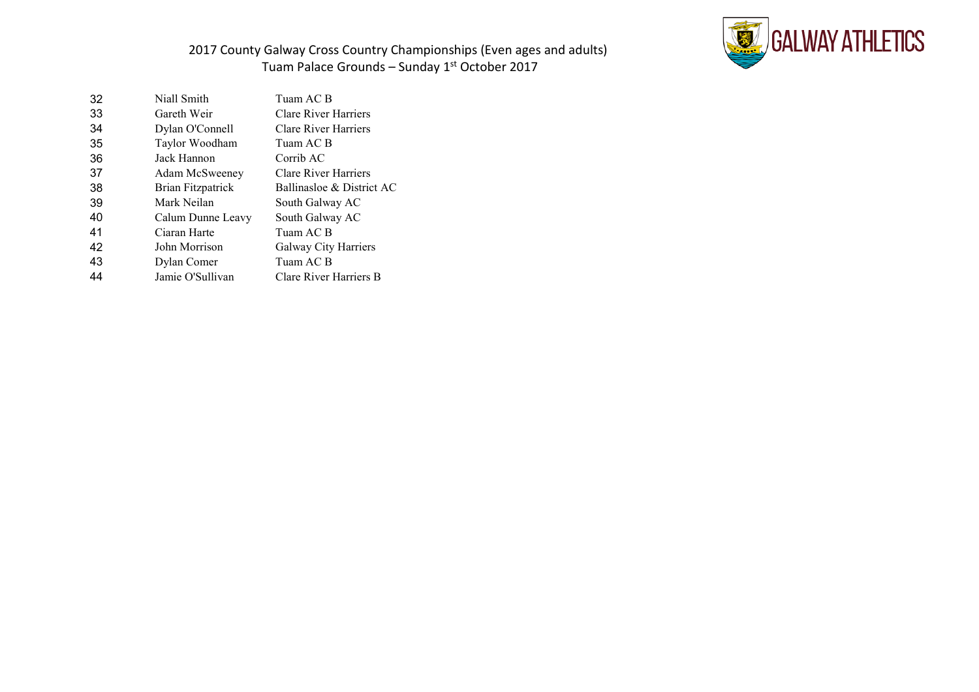

| 32 | Niall Smith              | Tuam AC B                   |
|----|--------------------------|-----------------------------|
| 33 | Gareth Weir              | <b>Clare River Harriers</b> |
| 34 | Dylan O'Connell          | <b>Clare River Harriers</b> |
| 35 | Taylor Woodham           | Tuam AC B                   |
| 36 | Jack Hannon              | Corrib AC                   |
| 37 | Adam McSweeney           | <b>Clare River Harriers</b> |
| 38 | <b>Brian Fitzpatrick</b> | Ballinasloe & District AC   |
| 39 | Mark Neilan              | South Galway AC             |
| 40 | Calum Dunne Leavy        | South Galway AC             |
| 41 | Ciaran Harte             | Tuam AC B                   |
| 42 | John Morrison            | Galway City Harriers        |
| 43 | Dylan Comer              | Tuam AC B                   |
| 44 | Jamie O'Sullivan         | Clare River Harriers B      |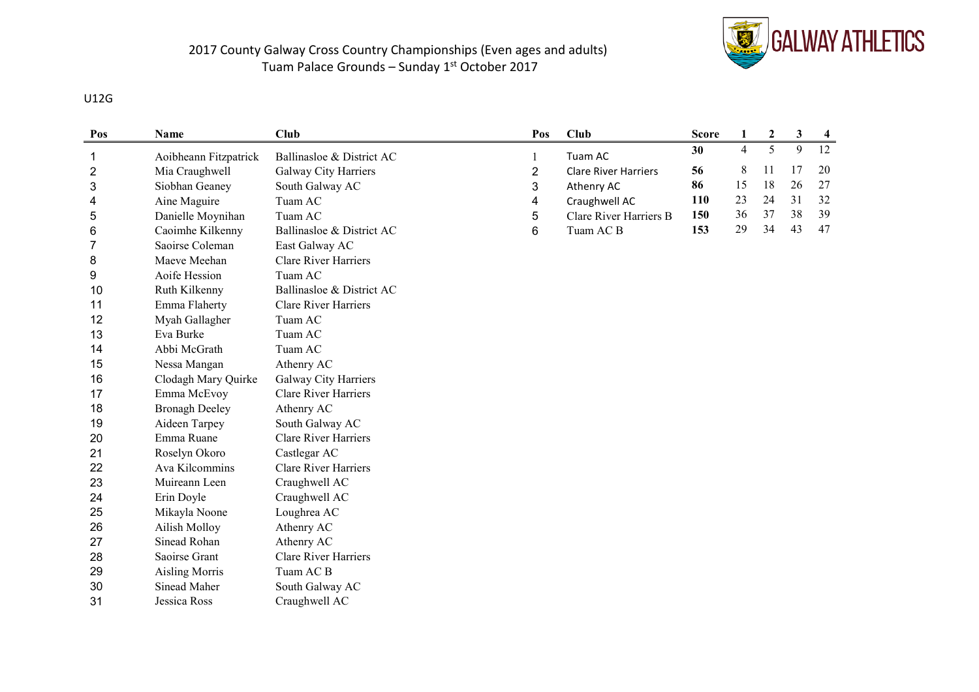

### U12G

| Pos | Name                  | Club                        | Pos            | Club                        | <b>Score</b> | 1              | $\mathbf{2}$ | 3  | $\overline{\mathbf{4}}$ |
|-----|-----------------------|-----------------------------|----------------|-----------------------------|--------------|----------------|--------------|----|-------------------------|
| 1   | Aoibheann Fitzpatrick | Ballinasloe & District AC   |                | Tuam AC                     | 30           | $\overline{4}$ | 5            | 9  | 12                      |
| 2   | Mia Craughwell        | Galway City Harriers        | $\overline{c}$ | <b>Clare River Harriers</b> | 56           | 8              | 11           | 17 | 20                      |
| 3   | Siobhan Geaney        | South Galway AC             | 3              | Athenry AC                  | 86           | 15             | 18           | 26 | 27                      |
| 4   | Aine Maguire          | Tuam AC                     | 4              | Craughwell AC               | 110          | 23             | 24           | 31 | 32                      |
| 5   | Danielle Moynihan     | Tuam AC                     | 5              | Clare River Harriers B      | 150          | 36             | 37           | 38 | 39                      |
| 6   | Caoimhe Kilkenny      | Ballinasloe & District AC   | 6              | Tuam AC <sub>B</sub>        | 153          | 29             | 34           | 43 | 47                      |
| 7   | Saoirse Coleman       | East Galway AC              |                |                             |              |                |              |    |                         |
| 8   | Maeve Meehan          | <b>Clare River Harriers</b> |                |                             |              |                |              |    |                         |
| 9   | Aoife Hession         | Tuam AC                     |                |                             |              |                |              |    |                         |
| 10  | Ruth Kilkenny         | Ballinasloe & District AC   |                |                             |              |                |              |    |                         |
| 11  | Emma Flaherty         | <b>Clare River Harriers</b> |                |                             |              |                |              |    |                         |
| 12  | Myah Gallagher        | Tuam AC                     |                |                             |              |                |              |    |                         |
| 13  | Eva Burke             | Tuam AC                     |                |                             |              |                |              |    |                         |
| 14  | Abbi McGrath          | Tuam AC                     |                |                             |              |                |              |    |                         |
| 15  | Nessa Mangan          | Athenry AC                  |                |                             |              |                |              |    |                         |
| 16  | Clodagh Mary Quirke   | Galway City Harriers        |                |                             |              |                |              |    |                         |
| 17  | Emma McEvoy           | Clare River Harriers        |                |                             |              |                |              |    |                         |
| 18  | <b>Bronagh Deeley</b> | Athenry AC                  |                |                             |              |                |              |    |                         |
| 19  | Aideen Tarpey         | South Galway AC             |                |                             |              |                |              |    |                         |
| 20  | Emma Ruane            | <b>Clare River Harriers</b> |                |                             |              |                |              |    |                         |
| 21  | Roselyn Okoro         | Castlegar AC                |                |                             |              |                |              |    |                         |
| 22  | Ava Kilcommins        | <b>Clare River Harriers</b> |                |                             |              |                |              |    |                         |
| 23  | Muireann Leen         | Craughwell AC               |                |                             |              |                |              |    |                         |
| 24  | Erin Doyle            | Craughwell AC               |                |                             |              |                |              |    |                         |
| 25  | Mikayla Noone         | Loughrea AC                 |                |                             |              |                |              |    |                         |
| 26  | Ailish Molloy         | Athenry AC                  |                |                             |              |                |              |    |                         |
| 27  | Sinead Rohan          | Athenry AC                  |                |                             |              |                |              |    |                         |
| 28  | Saoirse Grant         | <b>Clare River Harriers</b> |                |                             |              |                |              |    |                         |
| 29  | <b>Aisling Morris</b> | Tuam AC B                   |                |                             |              |                |              |    |                         |
| 30  | Sinead Maher          | South Galway AC             |                |                             |              |                |              |    |                         |
| 31  | Jessica Ross          | Craughwell AC               |                |                             |              |                |              |    |                         |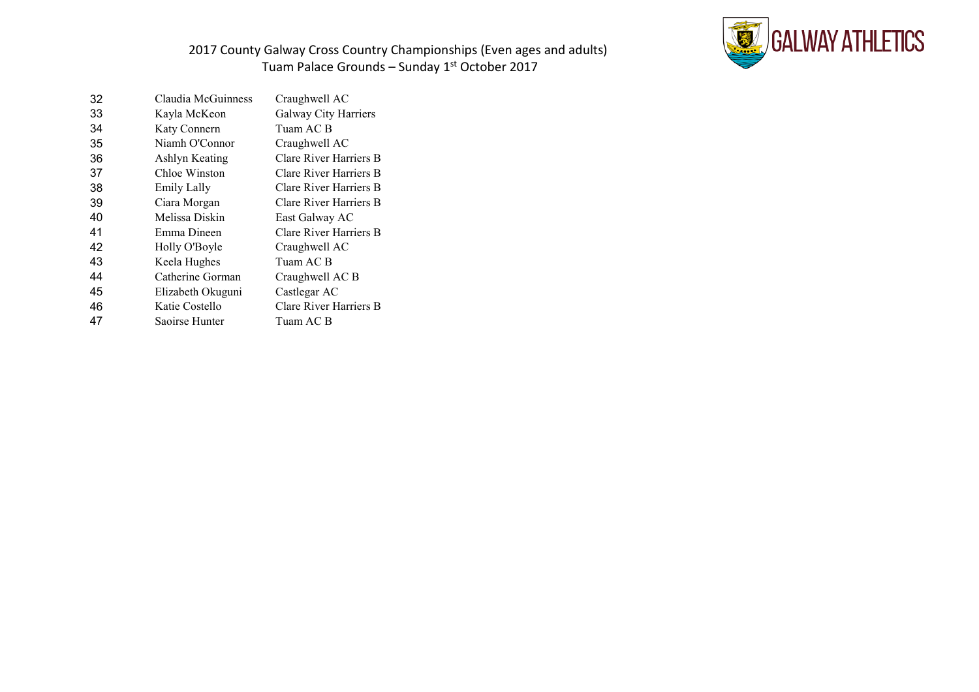

| 32 | Claudia McGuinness | Craughwell AC          |
|----|--------------------|------------------------|
| 33 | Kayla McKeon       | Galway City Harriers   |
| 34 | Katy Connern       | Tuam AC B              |
| 35 | Niamh O'Connor     | Craughwell AC          |
| 36 | Ashlyn Keating     | Clare River Harriers B |
| 37 | Chloe Winston      | Clare River Harriers B |
| 38 | <b>Emily Lally</b> | Clare River Harriers B |
| 39 | Ciara Morgan       | Clare River Harriers B |
| 40 | Melissa Diskin     | East Galway AC         |
| 41 | Emma Dineen        | Clare River Harriers B |
| 42 | Holly O'Boyle      | Craughwell AC          |
| 43 | Keela Hughes       | Tuam AC B              |
| 44 | Catherine Gorman   | Craughwell AC B        |
| 45 | Elizabeth Okuguni  | Castlegar AC           |
| 46 | Katie Costello     | Clare River Harriers B |
| 47 | Saoirse Hunter     | Tuam AC B              |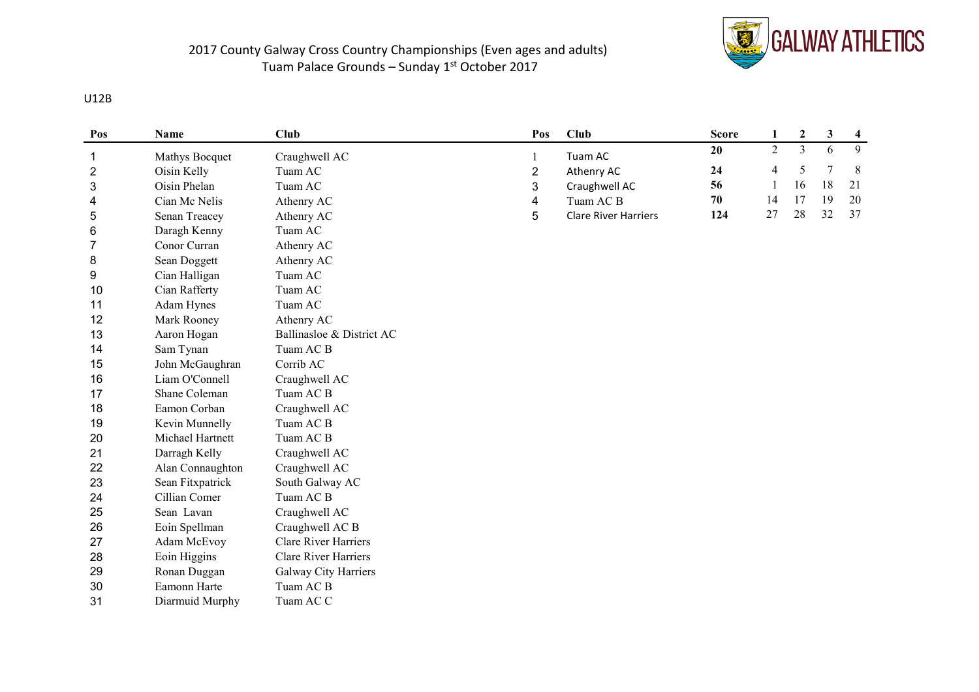

#### U12B

| Pos | Name             | Club                        | Pos            | Club                        | <b>Score</b> | 1              | $\boldsymbol{2}$ | 3  | $\overline{\mathbf{4}}$ |
|-----|------------------|-----------------------------|----------------|-----------------------------|--------------|----------------|------------------|----|-------------------------|
| 1   | Mathys Bocquet   | Craughwell AC               | 1              | Tuam AC                     | 20           | $\overline{2}$ | $\overline{3}$   | 6  | 9                       |
| 2   | Oisin Kelly      | Tuam AC                     | $\overline{2}$ | Athenry AC                  | 24           | 4              | 5                | 7  | 8                       |
| 3   | Oisin Phelan     | Tuam AC                     | 3              | Craughwell AC               | 56           | 1              | 16               | 18 | 21                      |
| 4   | Cian Mc Nelis    | Athenry AC                  | 4              | Tuam AC B                   | 70           | 14             | 17               | 19 | 20                      |
| 5   | Senan Treacey    | Athenry AC                  | 5              | <b>Clare River Harriers</b> | 124          | 27             | 28               | 32 | 37                      |
| 6   | Daragh Kenny     | Tuam AC                     |                |                             |              |                |                  |    |                         |
| 7   | Conor Curran     | Athenry AC                  |                |                             |              |                |                  |    |                         |
| 8   | Sean Doggett     | Athenry AC                  |                |                             |              |                |                  |    |                         |
| 9   | Cian Halligan    | Tuam AC                     |                |                             |              |                |                  |    |                         |
| 10  | Cian Rafferty    | Tuam AC                     |                |                             |              |                |                  |    |                         |
| 11  | Adam Hynes       | Tuam AC                     |                |                             |              |                |                  |    |                         |
| 12  | Mark Rooney      | Athenry AC                  |                |                             |              |                |                  |    |                         |
| 13  | Aaron Hogan      | Ballinasloe & District AC   |                |                             |              |                |                  |    |                         |
| 14  | Sam Tynan        | Tuam AC B                   |                |                             |              |                |                  |    |                         |
| 15  | John McGaughran  | Corrib AC                   |                |                             |              |                |                  |    |                         |
| 16  | Liam O'Connell   | Craughwell AC               |                |                             |              |                |                  |    |                         |
| 17  | Shane Coleman    | Tuam AC B                   |                |                             |              |                |                  |    |                         |
| 18  | Eamon Corban     | Craughwell AC               |                |                             |              |                |                  |    |                         |
| 19  | Kevin Munnelly   | Tuam AC B                   |                |                             |              |                |                  |    |                         |
| 20  | Michael Hartnett | Tuam AC B                   |                |                             |              |                |                  |    |                         |
| 21  | Darragh Kelly    | Craughwell AC               |                |                             |              |                |                  |    |                         |
| 22  | Alan Connaughton | Craughwell AC               |                |                             |              |                |                  |    |                         |
| 23  | Sean Fitxpatrick | South Galway AC             |                |                             |              |                |                  |    |                         |
| 24  | Cillian Comer    | Tuam AC B                   |                |                             |              |                |                  |    |                         |
| 25  | Sean Lavan       | Craughwell AC               |                |                             |              |                |                  |    |                         |
| 26  | Eoin Spellman    | Craughwell AC B             |                |                             |              |                |                  |    |                         |
| 27  | Adam McEvoy      | <b>Clare River Harriers</b> |                |                             |              |                |                  |    |                         |
| 28  | Eoin Higgins     | <b>Clare River Harriers</b> |                |                             |              |                |                  |    |                         |
| 29  | Ronan Duggan     | Galway City Harriers        |                |                             |              |                |                  |    |                         |
| 30  | Eamonn Harte     | Tuam AC B                   |                |                             |              |                |                  |    |                         |
| 31  | Diarmuid Murphy  | Tuam AC C                   |                |                             |              |                |                  |    |                         |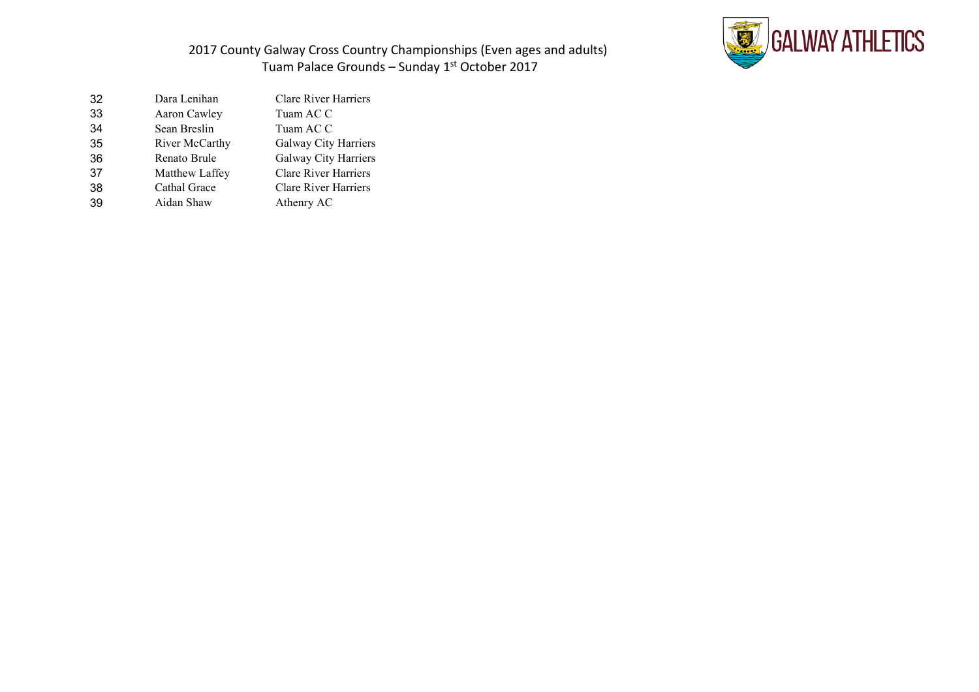

| 32 | Dara Lenihan   | <b>Clare River Harriers</b> |
|----|----------------|-----------------------------|
| 33 | Aaron Cawley   | Tuam AC C                   |
| 34 | Sean Breslin   | Tuam AC C                   |
| 35 | River McCarthy | Galway City Harriers        |
| 36 | Renato Brule   | Galway City Harriers        |
| 37 | Matthew Laffey | <b>Clare River Harriers</b> |
| 38 | Cathal Grace   | <b>Clare River Harriers</b> |
| 39 | Aidan Shaw     | Athenry AC                  |
|    |                |                             |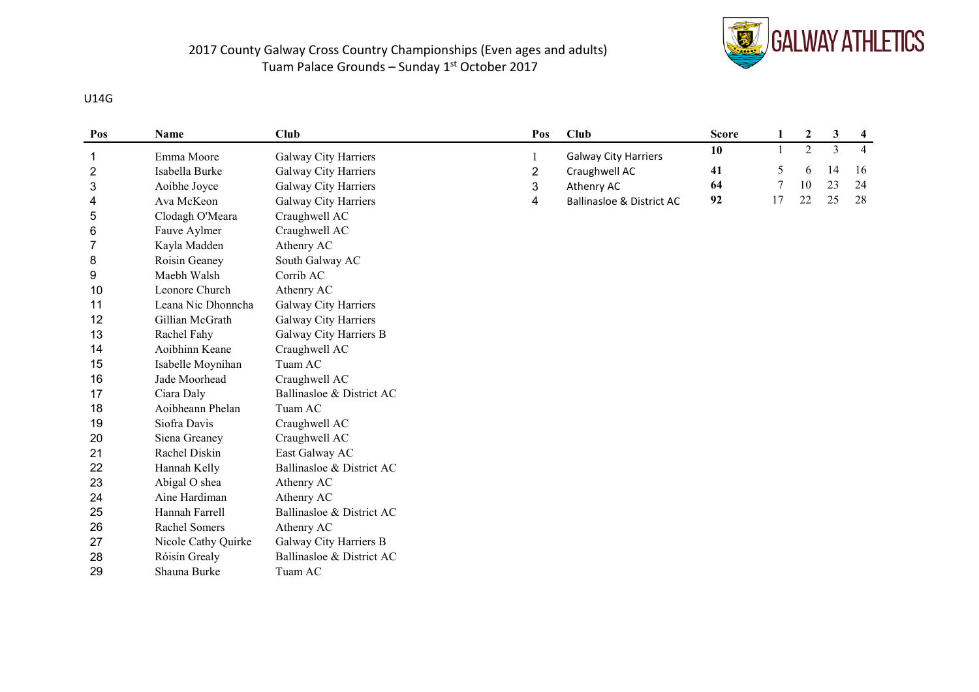

#### U14G

| Pos | Name                | Club                      | Pos | Club                                 | <b>Score</b> | 1  | $\mathbf{2}$ | 3  | $\overline{\mathbf{4}}$ |
|-----|---------------------|---------------------------|-----|--------------------------------------|--------------|----|--------------|----|-------------------------|
| 1   | Emma Moore          | Galway City Harriers      |     | <b>Galway City Harriers</b>          | 10           |    | 2            | 3  | $\overline{4}$          |
| 2   | Isabella Burke      | Galway City Harriers      | 2   | Craughwell AC                        | 41           | 5  | 6            | 14 | 16                      |
| 3   | Aoibhe Joyce        | Galway City Harriers      | 3   | Athenry AC                           | 64           | 7  | 10           | 23 | 24                      |
| 4   | Ava McKeon          | Galway City Harriers      | 4   | <b>Ballinasloe &amp; District AC</b> | 92           | 17 | 22           | 25 | 28                      |
| 5   | Clodagh O'Meara     | Craughwell AC             |     |                                      |              |    |              |    |                         |
| 6   | Fauve Aylmer        | Craughwell AC             |     |                                      |              |    |              |    |                         |
| 7   | Kayla Madden        | Athenry AC                |     |                                      |              |    |              |    |                         |
| 8   | Roisin Geaney       | South Galway AC           |     |                                      |              |    |              |    |                         |
| 9   | Maebh Walsh         | Corrib AC                 |     |                                      |              |    |              |    |                         |
| 10  | Leonore Church      | Athenry AC                |     |                                      |              |    |              |    |                         |
| 11  | Leana Nic Dhonncha  | Galway City Harriers      |     |                                      |              |    |              |    |                         |
| 12  | Gillian McGrath     | Galway City Harriers      |     |                                      |              |    |              |    |                         |
| 13  | Rachel Fahy         | Galway City Harriers B    |     |                                      |              |    |              |    |                         |
| 14  | Aoibhinn Keane      | Craughwell AC             |     |                                      |              |    |              |    |                         |
| 15  | Isabelle Moynihan   | Tuam AC                   |     |                                      |              |    |              |    |                         |
| 16  | Jade Moorhead       | Craughwell AC             |     |                                      |              |    |              |    |                         |
| 17  | Ciara Daly          | Ballinasloe & District AC |     |                                      |              |    |              |    |                         |
| 18  | Aoibheann Phelan    | Tuam AC                   |     |                                      |              |    |              |    |                         |
| 19  | Siofra Davis        | Craughwell AC             |     |                                      |              |    |              |    |                         |
| 20  | Siena Greaney       | Craughwell AC             |     |                                      |              |    |              |    |                         |
| 21  | Rachel Diskin       | East Galway AC            |     |                                      |              |    |              |    |                         |
| 22  | Hannah Kelly        | Ballinasloe & District AC |     |                                      |              |    |              |    |                         |
| 23  | Abigal O shea       | Athenry AC                |     |                                      |              |    |              |    |                         |
| 24  | Aine Hardiman       | Athenry AC                |     |                                      |              |    |              |    |                         |
| 25  | Hannah Farrell      | Ballinasloe & District AC |     |                                      |              |    |              |    |                         |
| 26  | Rachel Somers       | Athenry AC                |     |                                      |              |    |              |    |                         |
| 27  | Nicole Cathy Quirke | Galway City Harriers B    |     |                                      |              |    |              |    |                         |
| 28  | Róisín Grealy       | Ballinasloe & District AC |     |                                      |              |    |              |    |                         |
| 29  | Shauna Burke        | Tuam AC                   |     |                                      |              |    |              |    |                         |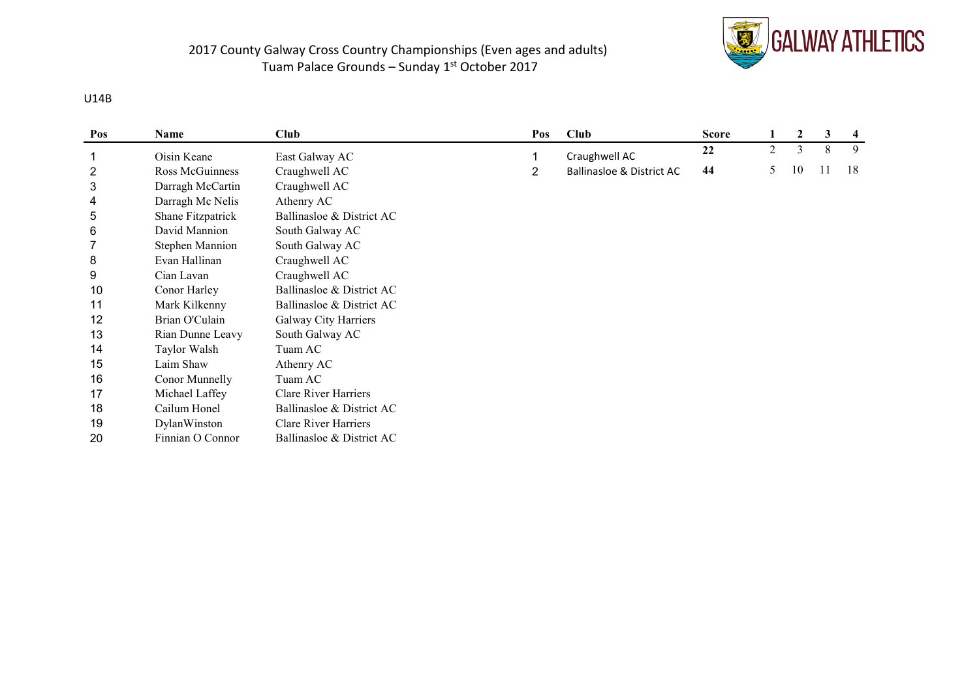

#### U14B

| Pos | Name                   | <b>Club</b>                 | Pos | <b>Club</b>               | <b>Score</b> |                | $\boldsymbol{2}$ | 3   | 4  |
|-----|------------------------|-----------------------------|-----|---------------------------|--------------|----------------|------------------|-----|----|
|     | Oisin Keane            | East Galway AC              |     | Craughwell AC             | 22           | $\overline{2}$ | 3                | 8   | 9  |
| 2   | Ross McGuinness        | Craughwell AC               | 2   | Ballinasloe & District AC | 44           | 5              | 10               | -11 | 18 |
| 3   | Darragh McCartin       | Craughwell AC               |     |                           |              |                |                  |     |    |
| 4   | Darragh Mc Nelis       | Athenry AC                  |     |                           |              |                |                  |     |    |
| 5   | Shane Fitzpatrick      | Ballinasloe & District AC   |     |                           |              |                |                  |     |    |
| 6   | David Mannion          | South Galway AC             |     |                           |              |                |                  |     |    |
|     | <b>Stephen Mannion</b> | South Galway AC             |     |                           |              |                |                  |     |    |
| 8   | Evan Hallinan          | Craughwell AC               |     |                           |              |                |                  |     |    |
| 9   | Cian Lavan             | Craughwell AC               |     |                           |              |                |                  |     |    |
| 10  | Conor Harley           | Ballinasloe & District AC   |     |                           |              |                |                  |     |    |
| 11  | Mark Kilkenny          | Ballinasloe & District AC   |     |                           |              |                |                  |     |    |
| 12  | Brian O'Culain         | Galway City Harriers        |     |                           |              |                |                  |     |    |
| 13  | Rian Dunne Leavy       | South Galway AC             |     |                           |              |                |                  |     |    |
| 14  | Taylor Walsh           | Tuam AC                     |     |                           |              |                |                  |     |    |
| 15  | Laim Shaw              | Athenry AC                  |     |                           |              |                |                  |     |    |
| 16  | Conor Munnelly         | Tuam AC                     |     |                           |              |                |                  |     |    |
| 17  | Michael Laffey         | Clare River Harriers        |     |                           |              |                |                  |     |    |
| 18  | Cailum Honel           | Ballinasloe & District AC   |     |                           |              |                |                  |     |    |
| 19  | DylanWinston           | <b>Clare River Harriers</b> |     |                           |              |                |                  |     |    |
| 20  | Finnian O Connor       | Ballinasloe & District AC   |     |                           |              |                |                  |     |    |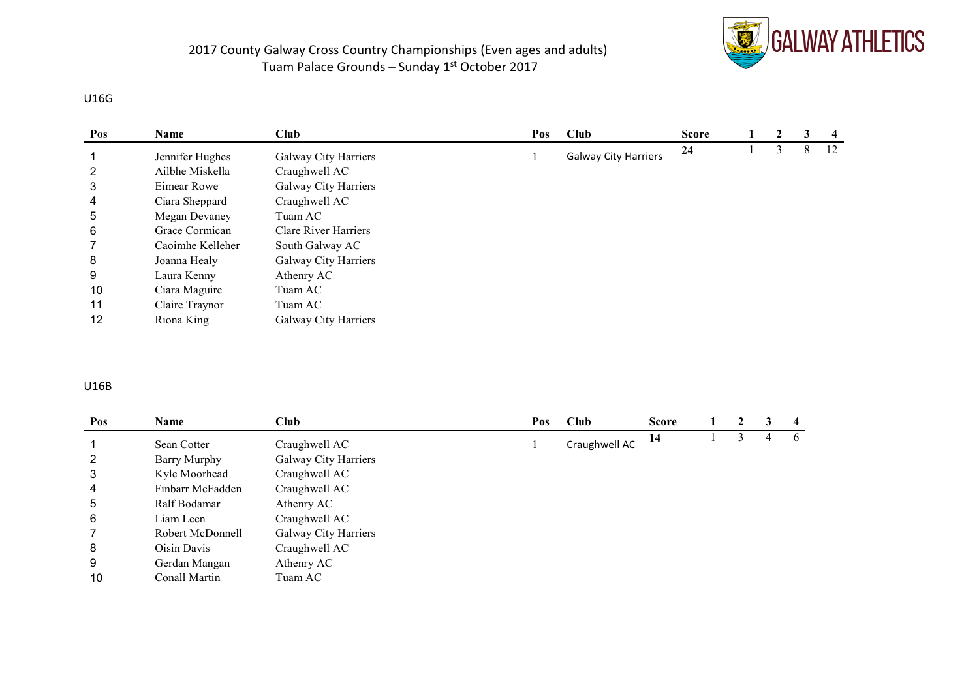

#### U16G

| Pos | Name             | <b>Club</b>          | Pos | Club                        | <b>Score</b> | 2 |   | $\overline{4}$ |
|-----|------------------|----------------------|-----|-----------------------------|--------------|---|---|----------------|
|     | Jennifer Hughes  | Galway City Harriers |     | <b>Galway City Harriers</b> | 24           |   | 8 | 12             |
| 2   | Ailbhe Miskella  | Craughwell AC        |     |                             |              |   |   |                |
| 3   | Eimear Rowe      | Galway City Harriers |     |                             |              |   |   |                |
| 4   | Ciara Sheppard   | Craughwell AC        |     |                             |              |   |   |                |
| 5   | Megan Devaney    | Tuam AC              |     |                             |              |   |   |                |
| 6   | Grace Cormican   | Clare River Harriers |     |                             |              |   |   |                |
|     | Caoimhe Kelleher | South Galway AC      |     |                             |              |   |   |                |
| 8   | Joanna Healy     | Galway City Harriers |     |                             |              |   |   |                |
| 9   | Laura Kenny      | Athenry AC           |     |                             |              |   |   |                |
| 10  | Ciara Maguire    | Tuam AC              |     |                             |              |   |   |                |
| 11  | Claire Traynor   | Tuam AC              |     |                             |              |   |   |                |
| 12  | Riona King       | Galway City Harriers |     |                             |              |   |   |                |

#### U16B

| Pos | <b>Name</b>      | <b>Club</b>          | Pos | Club          | <b>Score</b> |  |   | $\overline{4}$ |
|-----|------------------|----------------------|-----|---------------|--------------|--|---|----------------|
|     | Sean Cotter      | Craughwell AC        |     | Craughwell AC | 14           |  | 4 | $\mathfrak{h}$ |
| 2   | Barry Murphy     | Galway City Harriers |     |               |              |  |   |                |
| 3   | Kyle Moorhead    | Craughwell AC        |     |               |              |  |   |                |
| 4   | Finbarr McFadden | Craughwell AC        |     |               |              |  |   |                |
| 5   | Ralf Bodamar     | Athenry AC           |     |               |              |  |   |                |
| 6   | Liam Leen        | Craughwell AC        |     |               |              |  |   |                |
|     | Robert McDonnell | Galway City Harriers |     |               |              |  |   |                |
| 8   | Oisin Davis      | Craughwell AC        |     |               |              |  |   |                |
| 9   | Gerdan Mangan    | Athenry AC           |     |               |              |  |   |                |
| 10  | Conall Martin    | Tuam AC              |     |               |              |  |   |                |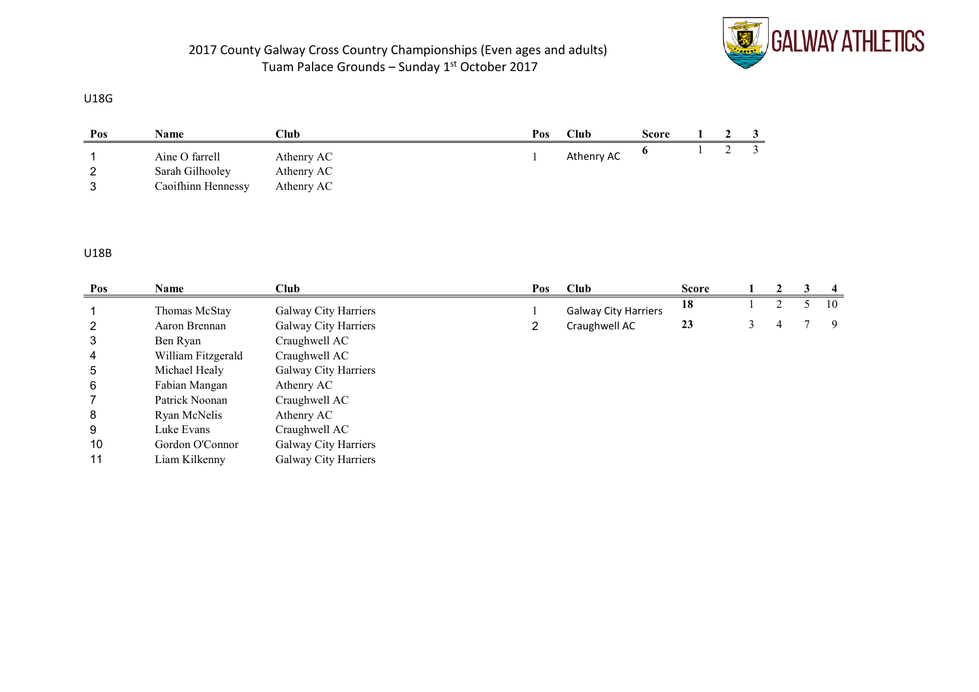

#### U18G

| Pos | Name                                                    | Club                                   | Pos | $\mathbb{C}% _{\mathcal{A}}$ lub | Score |  |  |
|-----|---------------------------------------------------------|----------------------------------------|-----|----------------------------------|-------|--|--|
| ◠   | Aine O farrell<br>Sarah Gilhooley<br>Caoifhinn Hennessy | Athenry AC<br>Athenry AC<br>Athenry AC |     | Athenry AC                       |       |  |  |

#### U18B

| Pos | Name               | <b>Club</b>          | Pos | <b>Club</b>                 | <b>Score</b> |   | 2 | 3 | $\overline{4}$ |
|-----|--------------------|----------------------|-----|-----------------------------|--------------|---|---|---|----------------|
|     | Thomas McStay      | Galway City Harriers |     | <b>Galway City Harriers</b> | 18           |   |   |   | 10             |
| 2   | Aaron Brennan      | Galway City Harriers | 2   | Craughwell AC               | 23           | 3 | 4 |   | -9             |
| 3   | Ben Ryan           | Craughwell AC        |     |                             |              |   |   |   |                |
| 4   | William Fitzgerald | Craughwell AC        |     |                             |              |   |   |   |                |
| 5   | Michael Healy      | Galway City Harriers |     |                             |              |   |   |   |                |
| 6   | Fabian Mangan      | Athenry AC           |     |                             |              |   |   |   |                |
|     | Patrick Noonan     | Craughwell AC        |     |                             |              |   |   |   |                |
| 8   | Ryan McNelis       | Athenry AC           |     |                             |              |   |   |   |                |
| 9   | Luke Evans         | Craughwell AC        |     |                             |              |   |   |   |                |
| 10  | Gordon O'Connor    | Galway City Harriers |     |                             |              |   |   |   |                |
| 11  | Liam Kilkenny      | Galway City Harriers |     |                             |              |   |   |   |                |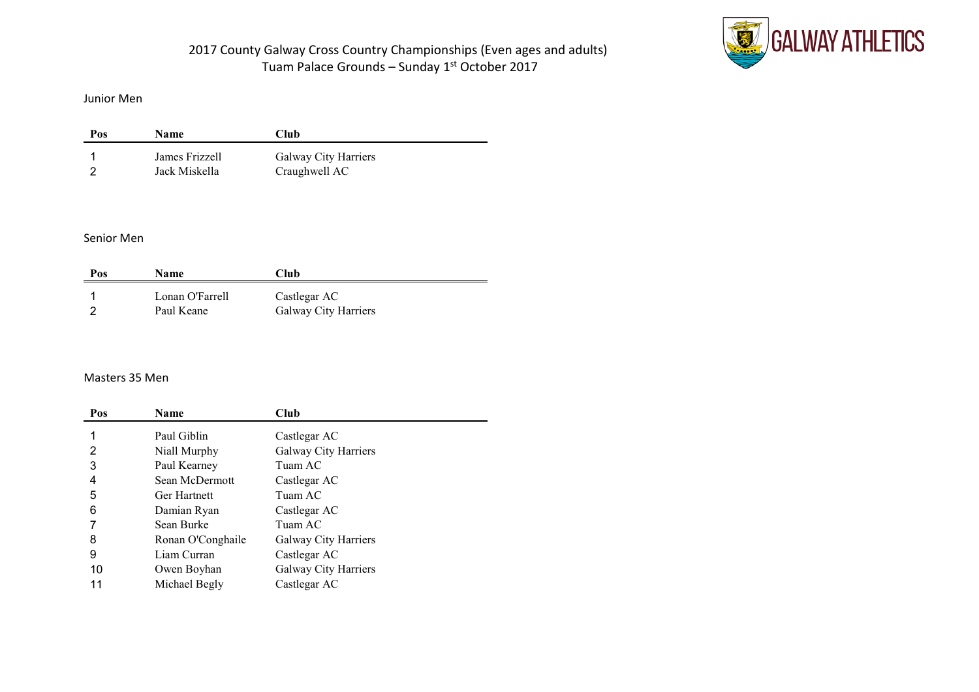

Junior Men

| Pos | <b>Name</b>                     | Club                                  |
|-----|---------------------------------|---------------------------------------|
|     | James Frizzell<br>Jack Miskella | Galway City Harriers<br>Craughwell AC |

#### Senior Men

| Pos | <b>Name</b>                   | Club                                 |
|-----|-------------------------------|--------------------------------------|
|     | Lonan O'Farrell<br>Paul Keane | Castlegar AC<br>Galway City Harriers |

### Masters 35 Men

| Pos | Name                | Club                 |
|-----|---------------------|----------------------|
|     | Paul Giblin         | Castlegar AC         |
| 2   | Niall Murphy        | Galway City Harriers |
| 3   | Paul Kearney        | Tuam AC              |
| 4   | Sean McDermott      | Castlegar AC         |
| 5   | <b>Ger Hartnett</b> | Tuam AC              |
| 6   | Damian Ryan         | Castlegar AC         |
|     | Sean Burke          | Tuam AC              |
| 8   | Ronan O'Conghaile   | Galway City Harriers |
| 9   | Liam Curran         | Castlegar AC         |
| 10  | Owen Boyhan         | Galway City Harriers |
| 11  | Michael Begly       | Castlegar AC         |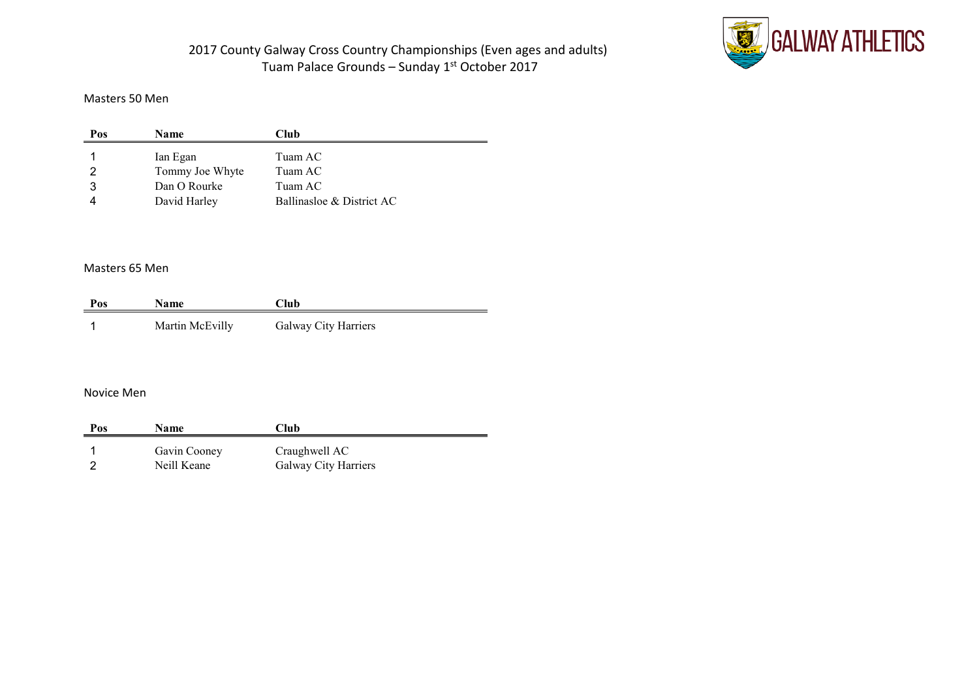

#### Masters 50 Men

| Pos | <b>Name</b>     | Club                      |
|-----|-----------------|---------------------------|
|     | Ian Egan        | Tuam AC                   |
|     | Tommy Joe Whyte | Tuam AC                   |
|     | Dan O Rourke    | Tuam AC                   |
|     | David Harley    | Ballinasloe & District AC |

### Masters 65 Men

| Pos | <b>Name</b>     | Club                 |
|-----|-----------------|----------------------|
|     | Martin McEvilly | Galway City Harriers |

#### Novice Men

| Pos | <b>Name</b>  | Club                 |  |
|-----|--------------|----------------------|--|
|     | Gavin Cooney | Craughwell AC        |  |
|     | Neill Keane  | Galway City Harriers |  |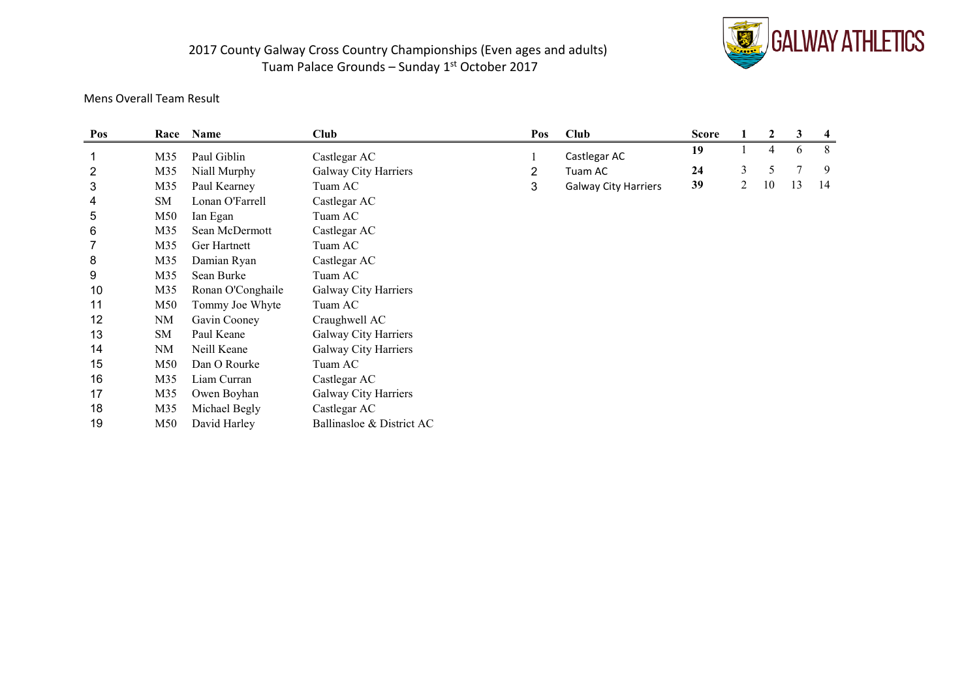

### Mens Overall Team Result

| Pos            | Race      | Name              | <b>Club</b>               | Pos            | <b>Club</b>                 | <b>Score</b> |   | 2  | 3              | $\overline{4}$ |
|----------------|-----------|-------------------|---------------------------|----------------|-----------------------------|--------------|---|----|----------------|----------------|
|                | M35       | Paul Giblin       | Castlegar AC              |                | Castlegar AC                | 19           |   | 4  | 6              | 8              |
| $\overline{2}$ | M35       | Niall Murphy      | Galway City Harriers      | $\overline{2}$ | Tuam AC                     | 24           | 3 | 5  | $\overline{7}$ | 9              |
| 3              | M35       | Paul Kearney      | Tuam AC                   | 3              | <b>Galway City Harriers</b> | 39           | 2 | 10 | 13             | 14             |
| 4              | SM        | Lonan O'Farrell   | Castlegar AC              |                |                             |              |   |    |                |                |
| 5              | M50       | Ian Egan          | Tuam AC                   |                |                             |              |   |    |                |                |
| 6              | M35       | Sean McDermott    | Castlegar AC              |                |                             |              |   |    |                |                |
|                | M35       | Ger Hartnett      | Tuam AC                   |                |                             |              |   |    |                |                |
| 8              | M35       | Damian Ryan       | Castlegar AC              |                |                             |              |   |    |                |                |
| 9              | M35       | Sean Burke        | Tuam AC                   |                |                             |              |   |    |                |                |
| 10             | M35       | Ronan O'Conghaile | Galway City Harriers      |                |                             |              |   |    |                |                |
| 11             | M50       | Tommy Joe Whyte   | Tuam AC                   |                |                             |              |   |    |                |                |
| 12             | <b>NM</b> | Gavin Cooney      | Craughwell AC             |                |                             |              |   |    |                |                |
| 13             | SM        | Paul Keane        | Galway City Harriers      |                |                             |              |   |    |                |                |
| 14             | NM        | Neill Keane       | Galway City Harriers      |                |                             |              |   |    |                |                |
| 15             | M50       | Dan O Rourke      | Tuam AC                   |                |                             |              |   |    |                |                |
| 16             | M35       | Liam Curran       | Castlegar AC              |                |                             |              |   |    |                |                |
| 17             | M35       | Owen Boyhan       | Galway City Harriers      |                |                             |              |   |    |                |                |
| 18             | M35       | Michael Begly     | Castlegar AC              |                |                             |              |   |    |                |                |
| 19             | M50       | David Harley      | Ballinasloe & District AC |                |                             |              |   |    |                |                |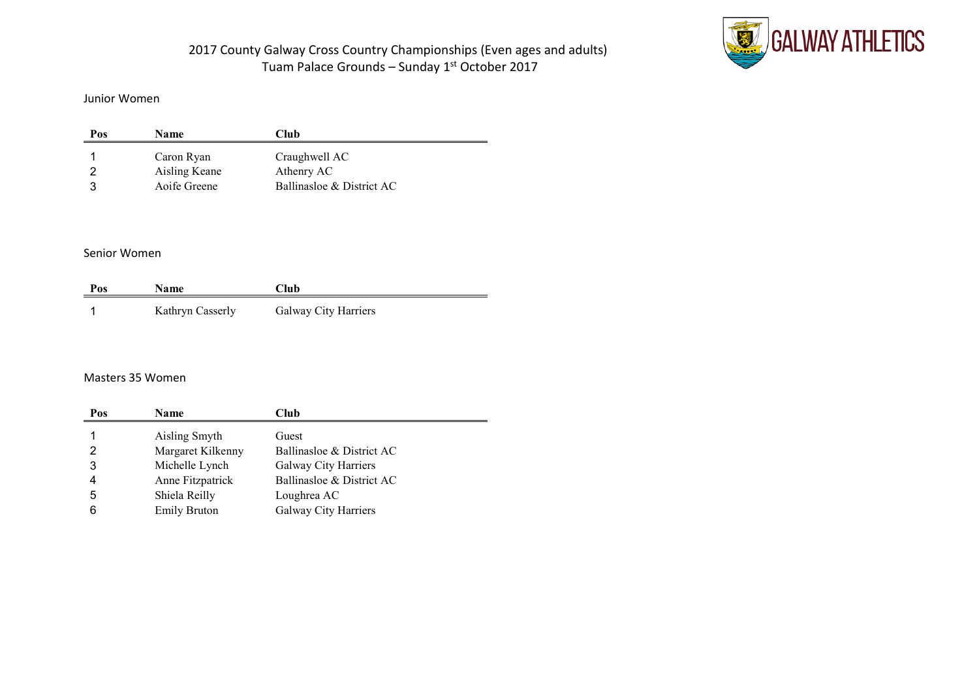

#### Junior Women

| Pos | <b>Name</b>   | Club                      |  |
|-----|---------------|---------------------------|--|
|     | Caron Ryan    | Craughwell AC             |  |
|     | Aisling Keane | Athenry AC                |  |
|     | Aoife Greene  | Ballinasloe & District AC |  |

#### Senior Women

| Pos | <b>Name</b>      | Club                 |
|-----|------------------|----------------------|
|     | Kathryn Casserly | Galway City Harriers |

#### Masters 35 Women

| Pos | <b>Name</b>         | Club                      |
|-----|---------------------|---------------------------|
|     | Aisling Smyth       | Guest                     |
|     | Margaret Kilkenny   | Ballinasloe & District AC |
|     | Michelle Lynch      | Galway City Harriers      |
|     | Anne Fitzpatrick    | Ballinasloe & District AC |
| 5   | Shiela Reilly       | Loughrea AC               |
|     | <b>Emily Bruton</b> | Galway City Harriers      |